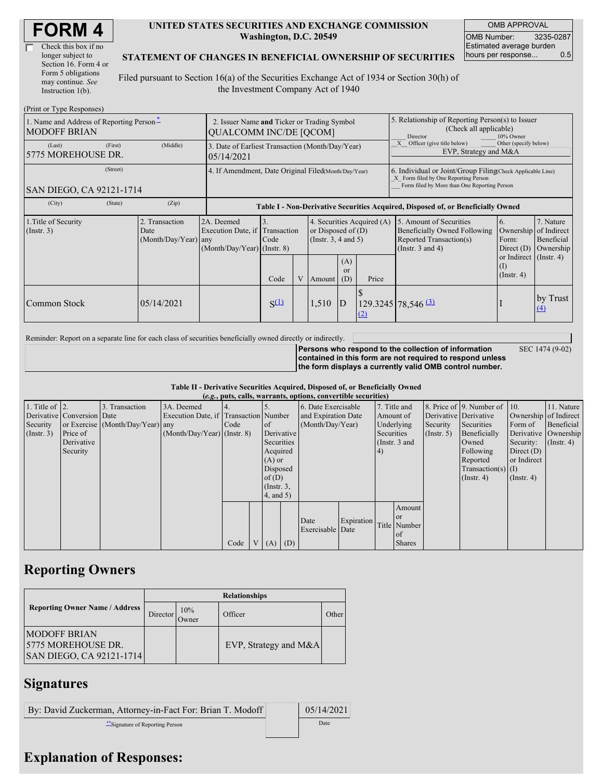| Check this box if no  |
|-----------------------|
| longer subject to     |
| Section 16. Form 4 or |
| Form 5 obligations    |
| may continue. See     |
| Instruction 1(b).     |

#### **UNITED STATES SECURITIES AND EXCHANGE COMMISSION Washington, D.C. 20549**

OMB APPROVAL OMB Number: 3235-0287 Estimated average burden hours per response... 0.5

SEC 1474 (9-02)

#### **STATEMENT OF CHANGES IN BENEFICIAL OWNERSHIP OF SECURITIES**

Filed pursuant to Section 16(a) of the Securities Exchange Act of 1934 or Section 30(h) of the Investment Company Act of 1940

| (Print or Type Responses)                                       |                                                                              |                                                |                                                                                  |            |   |                                                                                |                                                                                                                                                    |       |                                                                                                                    |                                                                 |                                      |  |
|-----------------------------------------------------------------|------------------------------------------------------------------------------|------------------------------------------------|----------------------------------------------------------------------------------|------------|---|--------------------------------------------------------------------------------|----------------------------------------------------------------------------------------------------------------------------------------------------|-------|--------------------------------------------------------------------------------------------------------------------|-----------------------------------------------------------------|--------------------------------------|--|
| 1. Name and Address of Reporting Person-<br><b>MODOFF BRIAN</b> | 2. Issuer Name and Ticker or Trading Symbol<br><b>QUALCOMM INC/DE [QCOM]</b> |                                                |                                                                                  |            |   |                                                                                | 5. Relationship of Reporting Person(s) to Issuer<br>(Check all applicable)<br>Director<br>10% Owner                                                |       |                                                                                                                    |                                                                 |                                      |  |
| (Last)<br>5775 MOREHOUSE DR.                                    | (First)                                                                      | (Middle)                                       | 3. Date of Earliest Transaction (Month/Day/Year)<br>05/14/2021                   |            |   |                                                                                |                                                                                                                                                    |       | Officer (give title below)<br>Other (specify below)<br>EVP, Strategy and M&A                                       |                                                                 |                                      |  |
| SAN DIEGO, CA 92121-1714                                        | 4. If Amendment, Date Original Filed(Month/Day/Year)                         |                                                |                                                                                  |            |   |                                                                                | 6. Individual or Joint/Group Filing Check Applicable Line)<br>X Form filed by One Reporting Person<br>Form filed by More than One Reporting Person |       |                                                                                                                    |                                                                 |                                      |  |
| (City)                                                          | (State)                                                                      | (Zip)                                          | Table I - Non-Derivative Securities Acquired, Disposed of, or Beneficially Owned |            |   |                                                                                |                                                                                                                                                    |       |                                                                                                                    |                                                                 |                                      |  |
| 1. Title of Security<br>$($ Instr. 3 $)$                        |                                                                              | 2. Transaction<br>Date<br>(Month/Day/Year) any | 2A. Deemed<br>Execution Date, if Transaction<br>(Month/Day/Year) (Instr. 8)      | 3.<br>Code |   | 4. Securities Acquired (A)<br>or Disposed of $(D)$<br>(Instr. $3, 4$ and $5$ ) |                                                                                                                                                    |       | 5. Amount of Securities<br><b>Beneficially Owned Following</b><br>Reported Transaction(s)<br>(Instr. $3$ and $4$ ) | <sup>6.</sup><br>Ownership of Indirect<br>Form:<br>Direct $(D)$ | 7. Nature<br>Beneficial<br>Ownership |  |
|                                                                 |                                                                              |                                                |                                                                                  | Code       | V | Amount                                                                         | (A)<br>$\alpha$<br>(D)                                                                                                                             | Price |                                                                                                                    | or Indirect (Instr. 4)<br>(I)<br>$($ Instr. 4 $)$               |                                      |  |
| Common Stock                                                    |                                                                              | 05/14/2021                                     |                                                                                  | $S^{(1)}$  |   | 1,510                                                                          | $\mathbf{D}$                                                                                                                                       | (2)   | $129.3245$ 78,546 $\frac{(3)}{2}$                                                                                  |                                                                 | by Trust<br>$\underline{(4)}$        |  |

Reminder: Report on a separate line for each class of securities beneficially owned directly or indirectly.

**Persons who respond to the collection of information contained in this form are not required to respond unless the form displays a currently valid OMB control number.**

**Table II - Derivative Securities Acquired, Disposed of, or Beneficially Owned**

| (e.g., puts, calls, warrants, options, convertible securities) |                            |                                  |                                       |      |                |                 |          |                     |            |                 |               |                      |                              |                       |                      |
|----------------------------------------------------------------|----------------------------|----------------------------------|---------------------------------------|------|----------------|-----------------|----------|---------------------|------------|-----------------|---------------|----------------------|------------------------------|-----------------------|----------------------|
| 1. Title of $\vert$ 2.                                         |                            | 3. Transaction                   | 3A. Deemed                            |      |                |                 |          | 6. Date Exercisable |            | 7. Title and    |               |                      | 8. Price of 9. Number of 10. |                       | 11. Nature           |
|                                                                | Derivative Conversion Date |                                  | Execution Date, if Transaction Number |      |                |                 |          | and Expiration Date |            | Amount of       |               |                      | Derivative Derivative        | Ownership of Indirect |                      |
| Security                                                       |                            | or Exercise (Month/Day/Year) any |                                       | Code |                | <sub>of</sub>   |          | (Month/Day/Year)    |            | Underlying      |               | Security             | Securities                   | Form of               | Beneficial           |
| $($ Instr. 3 $)$                                               | Price of                   |                                  | $(Month/Day/Year)$ (Instr. 8)         |      |                | Derivative      |          |                     |            | Securities      |               | $($ Instr. 5 $)$     | Beneficially                 |                       | Derivative Ownership |
|                                                                | Derivative                 |                                  |                                       |      |                | Securities      |          |                     |            | (Instr. $3$ and |               |                      | Owned                        | Security:             | $($ Instr. 4 $)$     |
|                                                                | Security                   |                                  |                                       |      |                | Acquired        |          |                     |            | 4)              |               |                      | Following                    | Direct $(D)$          |                      |
|                                                                |                            |                                  |                                       |      |                | $(A)$ or        |          |                     |            |                 |               |                      | Reported                     | or Indirect           |                      |
|                                                                |                            |                                  |                                       |      |                |                 | Disposed |                     |            |                 |               | $Transaction(s)$ (I) |                              |                       |                      |
|                                                                |                            |                                  |                                       |      |                | of(D)           |          |                     |            |                 |               |                      | $($ Instr. 4 $)$             | $($ Instr. 4 $)$      |                      |
|                                                                |                            |                                  |                                       |      |                | $($ Instr. $3,$ |          |                     |            |                 |               |                      |                              |                       |                      |
|                                                                |                            |                                  |                                       |      |                | $4$ , and $5$ ) |          |                     |            |                 |               |                      |                              |                       |                      |
|                                                                |                            |                                  |                                       |      |                |                 |          |                     |            |                 | Amount        |                      |                              |                       |                      |
|                                                                |                            |                                  |                                       |      |                |                 |          |                     |            |                 | <sub>or</sub> |                      |                              |                       |                      |
|                                                                |                            |                                  |                                       |      |                |                 |          | Date                | Expiration |                 | Title Number  |                      |                              |                       |                      |
|                                                                |                            |                                  |                                       |      |                |                 |          | Exercisable Date    |            |                 | of            |                      |                              |                       |                      |
|                                                                |                            |                                  |                                       | Code | V <sub>1</sub> | (A)             | (D)      |                     |            |                 | <b>Shares</b> |                      |                              |                       |                      |

## **Reporting Owners**

|                                                                         | <b>Relationships</b>  |              |                         |       |  |  |  |  |  |
|-------------------------------------------------------------------------|-----------------------|--------------|-------------------------|-------|--|--|--|--|--|
| <b>Reporting Owner Name / Address</b>                                   | Director <sup>'</sup> | 10%<br>Owner | Officer                 | Other |  |  |  |  |  |
| <b>IMODOFF BRIAN</b><br>15775 MOREHOUSE DR.<br>SAN DIEGO, CA 92121-1714 |                       |              | EVP, Strategy and $M&A$ |       |  |  |  |  |  |

# **Signatures**

| By: David Zuckerman, Attorney-in-Fact For: Brian T. Modoff | 05/14/2021 |
|------------------------------------------------------------|------------|
| **Signature of Reporting Person                            | Date       |

## **Explanation of Responses:**